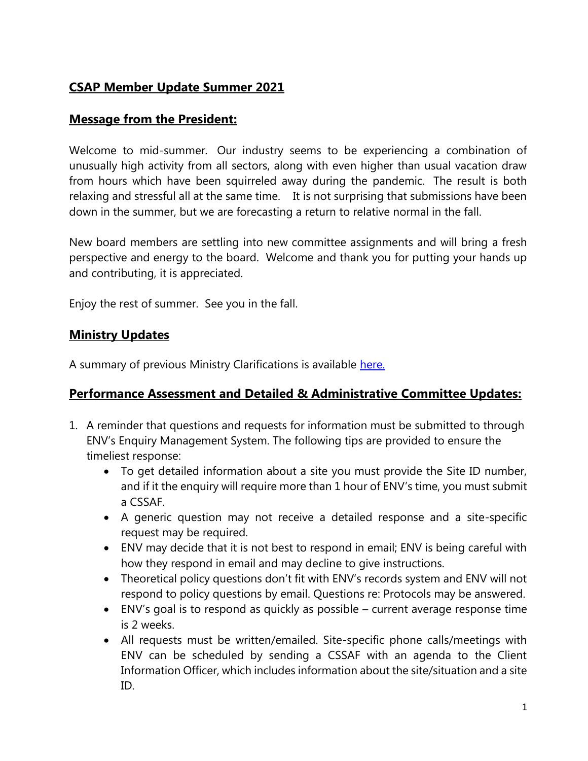# **CSAP Member Update Summer 2021**

# **Message from the President:**

Welcome to mid-summer. Our industry seems to be experiencing a combination of unusually high activity from all sectors, along with even higher than usual vacation draw from hours which have been squirreled away during the pandemic. The result is both relaxing and stressful all at the same time. It is not surprising that submissions have been down in the summer, but we are forecasting a return to relative normal in the fall.

New board members are settling into new committee assignments and will bring a fresh perspective and energy to the board. Welcome and thank you for putting your hands up and contributing, it is appreciated.

Enjoy the rest of summer. See you in the fall.

### **Ministry Updates**

A summary of previous Ministry Clarifications is available [here.](https://csapsociety.bc.ca/wp-content/uploads/Ministry-Updates-Fall-2020-to-Summer-2012.pdf)

# **Performance Assessment and Detailed & Administrative Committee Updates:**

- 1. A reminder that questions and requests for information must be submitted to through ENV's Enquiry Management System. The following tips are provided to ensure the timeliest response:
	- To get detailed information about a site you must provide the Site ID number, and if it the enquiry will require more than 1 hour of ENV's time, you must submit a CSSAF.
	- A generic question may not receive a detailed response and a site-specific request may be required.
	- ENV may decide that it is not best to respond in email; ENV is being careful with how they respond in email and may decline to give instructions.
	- Theoretical policy questions don't fit with ENV's records system and ENV will not respond to policy questions by email. Questions re: Protocols may be answered.
	- ENV's goal is to respond as quickly as possible current average response time is 2 weeks.
	- All requests must be written/emailed. Site-specific phone calls/meetings with ENV can be scheduled by sending a CSSAF with an agenda to the Client Information Officer, which includes information about the site/situation and a site ID.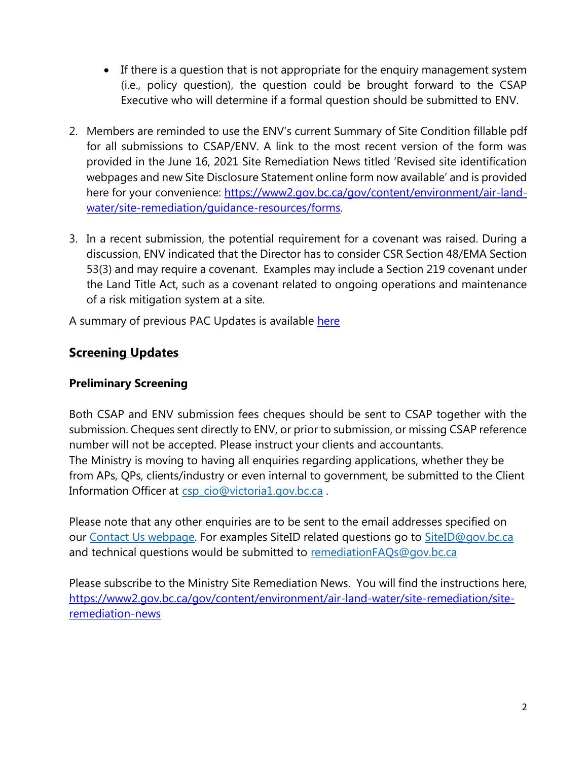- If there is a question that is not appropriate for the enquiry management system (i.e., policy question), the question could be brought forward to the CSAP Executive who will determine if a formal question should be submitted to ENV.
- 2. Members are reminded to use the ENV's current Summary of Site Condition fillable pdf for all submissions to CSAP/ENV. A link to the most recent version of the form was provided in the June 16, 2021 Site Remediation News titled 'Revised site identification webpages and new Site Disclosure Statement online form now available' and is provided here for your convenience: [https://www2.gov.bc.ca/gov/content/environment/air-land](https://www2.gov.bc.ca/gov/content/environment/air-land-water/site-remediation/guidance-resources/forms)[water/site-remediation/guidance-resources/forms.](https://www2.gov.bc.ca/gov/content/environment/air-land-water/site-remediation/guidance-resources/forms)
- 3. In a recent submission, the potential requirement for a covenant was raised. During a discussion, ENV indicated that the Director has to consider CSR Section 48/EMA Section 53(3) and may require a covenant. Examples may include a Section 219 covenant under the Land Title Act, such as a covenant related to ongoing operations and maintenance of a risk mitigation system at a site.

A summary of previous PAC Updates is available here

# **Screening Updates**

# **Preliminary Screening**

Both CSAP and ENV submission fees cheques should be sent to CSAP together with the submission. Cheques sent directly to ENV, or prior to submission, or missing CSAP reference number will not be accepted. Please instruct your clients and accountants. The Ministry is moving to having all enquiries regarding applications, whether they be from APs, QPs, clients/industry or even internal to government, be submitted to the Client Information Officer at [csp\\_cio@victoria1.gov.bc.ca](mailto:csp_cio@victoria1.gov.bc.ca).

Please note that any other enquiries are to be sent to the email addresses specified on our [Contact Us webpage.](https://can01.safelinks.protection.outlook.com/?url=https%3A%2F%2Fwww2.gov.bc.ca%2Fgov%2Fcontent%3Fid%3DA4D08BEE59244B8BA9DBBA13DF620BDC&data=04%7C01%7Cnpomareda%40csapsociety.bc.ca%7C7476038d27d6416161cf08d967dc5256%7Cab97e2b2085f45ba971aec284160d874%7C0%7C0%7C637655018238726805%7CUnknown%7CTWFpbGZsb3d8eyJWIjoiMC4wLjAwMDAiLCJQIjoiV2luMzIiLCJBTiI6Ik1haWwiLCJXVCI6Mn0%3D%7C1000&sdata=KDJNxQ6pi5Ujjvh2J6IkoofpI4KgNkARx8cyExu4UiY%3D&reserved=0) For examples SiteID related questions go to [SiteID@gov.bc.ca](mailto:SiteID@gov.bc.ca) and technical questions would be submitted to [remediationFAQs@gov.bc.ca](mailto:remediationFAQs@gov.bc.ca)

Please subscribe to the Ministry Site Remediation News. You will find the instructions here, [https://www2.gov.bc.ca/gov/content/environment/air-land-water/site-remediation/site](https://www2.gov.bc.ca/gov/content/environment/air-land-water/site-remediation/site-remediation-news)[remediation-news](https://www2.gov.bc.ca/gov/content/environment/air-land-water/site-remediation/site-remediation-news)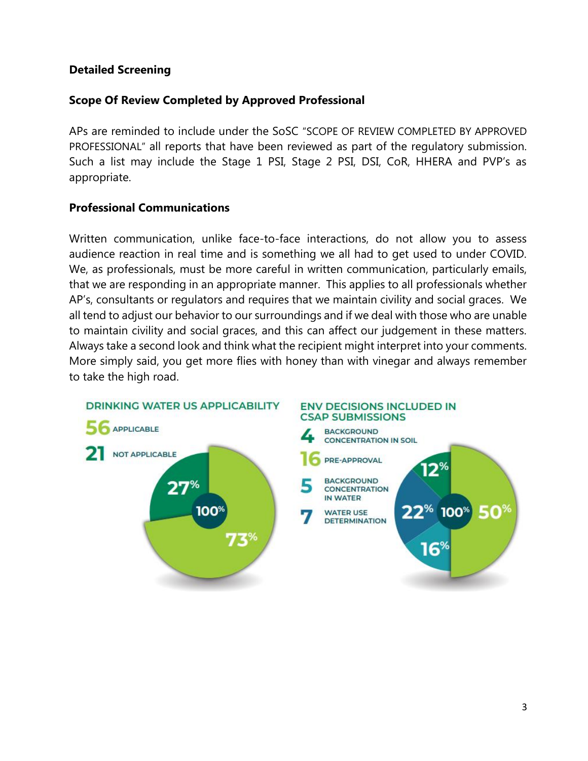### **Detailed Screening**

### **Scope Of Review Completed by Approved Professional**

APs are reminded to include under the SoSC "SCOPE OF REVIEW COMPLETED BY APPROVED PROFESSIONAL" all reports that have been reviewed as part of the regulatory submission. Such a list may include the Stage 1 PSI, Stage 2 PSI, DSI, CoR, HHERA and PVP's as appropriate.

### **Professional Communications**

Written communication, unlike face-to-face interactions, do not allow you to assess audience reaction in real time and is something we all had to get used to under COVID. We, as professionals, must be more careful in written communication, particularly emails, that we are responding in an appropriate manner. This applies to all professionals whether AP's, consultants or regulators and requires that we maintain civility and social graces. We all tend to adjust our behavior to our surroundings and if we deal with those who are unable to maintain civility and social graces, and this can affect our judgement in these matters. Always take a second look and think what the recipient might interpret into your comments. More simply said, you get more flies with honey than with vinegar and always remember to take the high road.

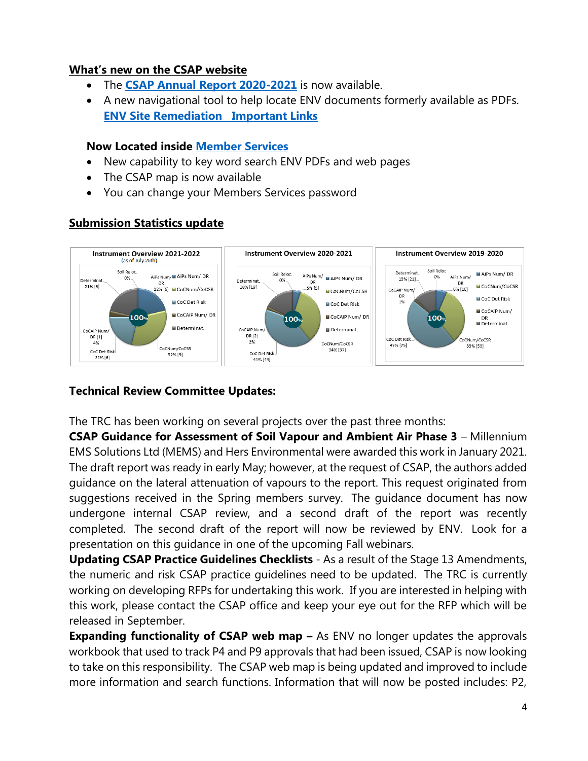#### **What's new on the CSAP website**

- The **[CSAP Annual Report 2020-2021](https://csapsociety.bc.ca/wp-content/uploads/CSAP-Annual-Report-2020-2021-V6.pdf)** is now available.
- A new navigational tool to help locate ENV documents formerly available as PDFs. **[ENV Site Remediation Important Links](https://csapsociety.bc.ca/wp-content/uploads/ENV-Links.docx)**

#### **Now Located inside [Member Services](https://csapsubmissions.com/)**

- New capability to key word search ENV PDFs and web pages
- The CSAP map is now available
- You can change your Members Services password

#### **Submission Statistics update**



#### **Technical Review Committee Updates:**

The TRC has been working on several projects over the past three months:

**CSAP Guidance for Assessment of Soil Vapour and Ambient Air Phase 3** – Millennium EMS Solutions Ltd (MEMS) and Hers Environmental were awarded this work in January 2021. The draft report was ready in early May; however, at the request of CSAP, the authors added guidance on the lateral attenuation of vapours to the report. This request originated from suggestions received in the Spring members survey. The guidance document has now undergone internal CSAP review, and a second draft of the report was recently completed. The second draft of the report will now be reviewed by ENV. Look for a presentation on this guidance in one of the upcoming Fall webinars.

**Updating CSAP Practice Guidelines Checklists** - As a result of the Stage 13 Amendments, the numeric and risk CSAP practice guidelines need to be updated. The TRC is currently working on developing RFPs for undertaking this work. If you are interested in helping with this work, please contact the CSAP office and keep your eye out for the RFP which will be released in September.

**Expanding functionality of CSAP web map –** As ENV no longer updates the approvals workbook that used to track P4 and P9 approvals that had been issued, CSAP is now looking to take on this responsibility. The CSAP web map is being updated and improved to include more information and search functions. Information that will now be posted includes: P2,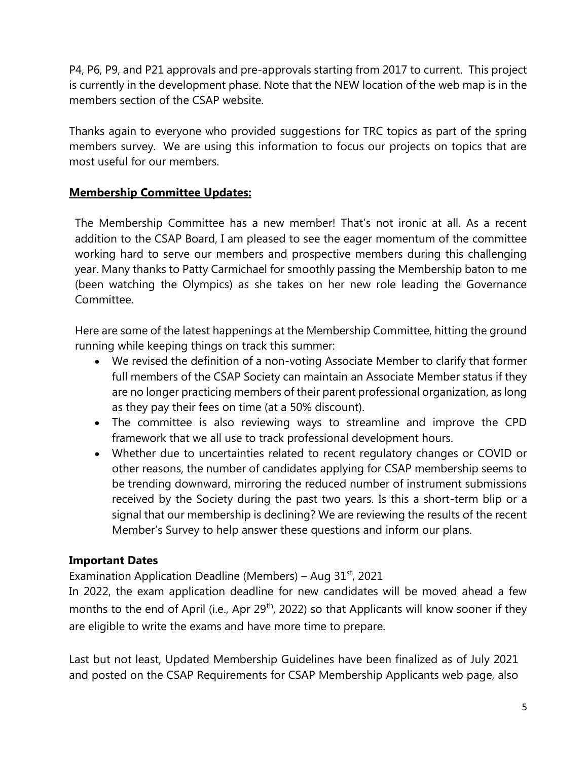P4, P6, P9, and P21 approvals and pre-approvals starting from 2017 to current. This project is currently in the development phase. Note that the NEW location of the web map is in the members section of the CSAP website.

Thanks again to everyone who provided suggestions for TRC topics as part of the spring members survey. We are using this information to focus our projects on topics that are most useful for our members.

# **Membership Committee Updates:**

The Membership Committee has a new member! That's not ironic at all. As a recent addition to the CSAP Board, I am pleased to see the eager momentum of the committee working hard to serve our members and prospective members during this challenging year. Many thanks to Patty Carmichael for smoothly passing the Membership baton to me (been watching the Olympics) as she takes on her new role leading the Governance Committee.

Here are some of the latest happenings at the Membership Committee, hitting the ground running while keeping things on track this summer:

- We revised the definition of a non-voting Associate Member to clarify that former full members of the CSAP Society can maintain an Associate Member status if they are no longer practicing members of their parent professional organization, as long as they pay their fees on time (at a 50% discount).
- The committee is also reviewing ways to streamline and improve the CPD framework that we all use to track professional development hours.
- Whether due to uncertainties related to recent regulatory changes or COVID or other reasons, the number of candidates applying for CSAP membership seems to be trending downward, mirroring the reduced number of instrument submissions received by the Society during the past two years. Is this a short-term blip or a signal that our membership is declining? We are reviewing the results of the recent Member's Survey to help answer these questions and inform our plans.

# **Important Dates**

Examination Application Deadline (Members) – Aug  $31<sup>st</sup>$ , 2021

In 2022, the exam application deadline for new candidates will be moved ahead a few months to the end of April (i.e., Apr  $29<sup>th</sup>$ , 2022) so that Applicants will know sooner if they are eligible to write the exams and have more time to prepare.

Last but not least, Updated Membership Guidelines have been finalized as of July 2021 and posted on the CSAP Requirements for CSAP Membership Applicants web page, also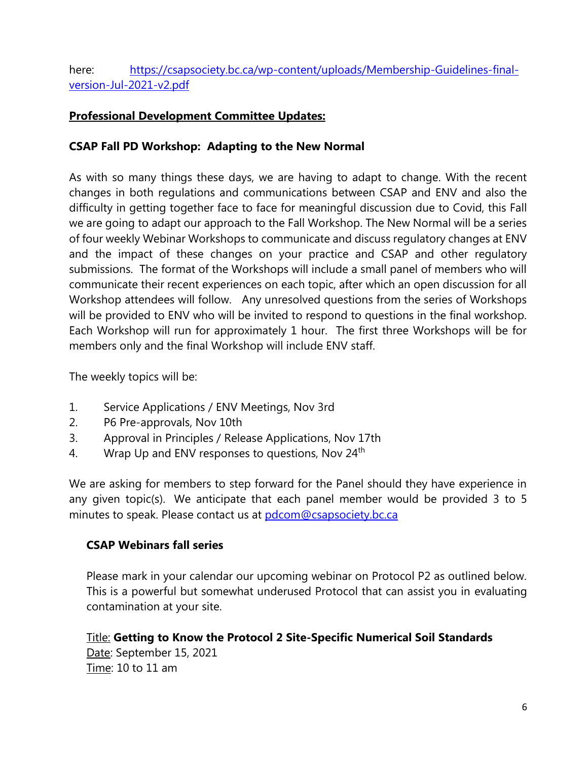here: [https://csapsociety.bc.ca/wp-content/uploads/Membership-Guidelines-final](https://csapsociety.bc.ca/wp-content/uploads/Membership-Guidelines-final-version-Jul-2021-v2.pdf)[version-Jul-2021-v2.pdf](https://csapsociety.bc.ca/wp-content/uploads/Membership-Guidelines-final-version-Jul-2021-v2.pdf)

### **Professional Development Committee Updates:**

### **CSAP Fall PD Workshop: Adapting to the New Normal**

As with so many things these days, we are having to adapt to change. With the recent changes in both regulations and communications between CSAP and ENV and also the difficulty in getting together face to face for meaningful discussion due to Covid, this Fall we are going to adapt our approach to the Fall Workshop. The New Normal will be a series of four weekly Webinar Workshops to communicate and discuss regulatory changes at ENV and the impact of these changes on your practice and CSAP and other regulatory submissions. The format of the Workshops will include a small panel of members who will communicate their recent experiences on each topic, after which an open discussion for all Workshop attendees will follow. Any unresolved questions from the series of Workshops will be provided to ENV who will be invited to respond to questions in the final workshop. Each Workshop will run for approximately 1 hour. The first three Workshops will be for members only and the final Workshop will include ENV staff.

The weekly topics will be:

- 1. Service Applications / ENV Meetings, Nov 3rd
- 2. P6 Pre-approvals, Nov 10th
- 3. Approval in Principles / Release Applications, Nov 17th
- 4. Wrap Up and ENV responses to questions, Nov 24<sup>th</sup>

We are asking for members to step forward for the Panel should they have experience in any given topic(s). We anticipate that each panel member would be provided 3 to 5 minutes to speak. Please contact us at [pdcom@csapsociety.bc.ca](mailto:pdcom@csapsociety.bc.ca)

#### **CSAP Webinars fall series**

Please mark in your calendar our upcoming webinar on Protocol P2 as outlined below. This is a powerful but somewhat underused Protocol that can assist you in evaluating contamination at your site.

Title: **Getting to Know the Protocol 2 Site-Specific Numerical Soil Standards**  Date: September 15, 2021 Time: 10 to 11 am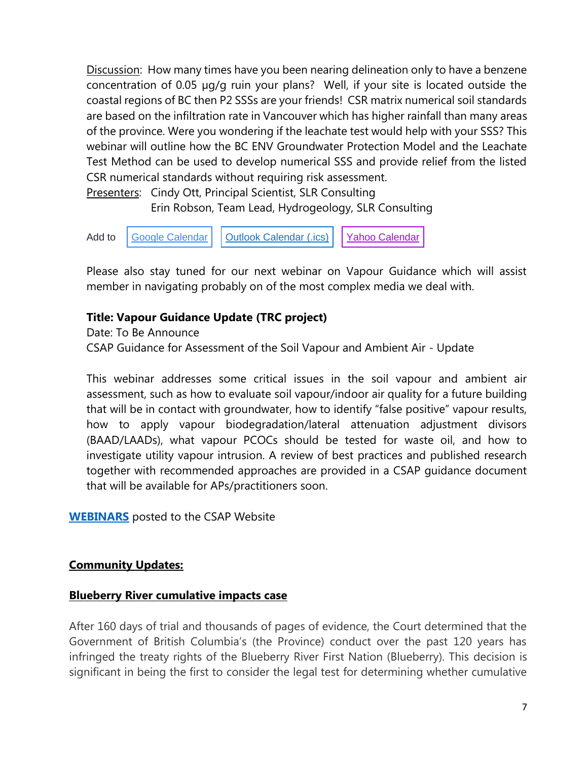Discussion: How many times have you been nearing delineation only to have a benzene concentration of 0.05 µg/g ruin your plans? Well, if your site is located outside the coastal regions of BC then P2 SSSs are your friends! CSR matrix numerical soil standards are based on the infiltration rate in Vancouver which has higher rainfall than many areas of the province. Were you wondering if the leachate test would help with your SSS? This webinar will outline how the BC ENV Groundwater Protection Model and the Leachate Test Method can be used to develop numerical SSS and provide relief from the listed CSR numerical standards without requiring risk assessment.

Presenters: Cindy Ott, Principal Scientist, SLR Consulting Erin Robson, Team Lead, Hydrogeology, SLR Consulting



Please also stay tuned for our next webinar on Vapour Guidance which will assist member in navigating probably on of the most complex media we deal with.

### **Title: Vapour Guidance Update (TRC project)**

Date: To Be Announce CSAP Guidance for Assessment of the Soil Vapour and Ambient Air - Update

This webinar addresses some critical issues in the soil vapour and ambient air assessment, such as how to evaluate soil vapour/indoor air quality for a future building that will be in contact with groundwater, how to identify "false positive" vapour results, how to apply vapour biodegradation/lateral attenuation adjustment divisors (BAAD/LAADs), what vapour PCOCs should be tested for waste oil, and how to investigate utility vapour intrusion. A review of best practices and published research together with recommended approaches are provided in a CSAP guidance document that will be available for APs/practitioners soon.

**[WEBINARS](https://csapsociety.bc.ca/members/pd-webinars/)** posted to the CSAP Website

#### **Community Updates:**

#### **Blueberry River cumulative impacts case**

After 160 days of trial and thousands of pages of evidence, the Court determined that the Government of British Columbia's (the Province) conduct over the past 120 years has infringed the treaty rights of the Blueberry River First Nation (Blueberry). This decision is significant in being the first to consider the legal test for determining whether cumulative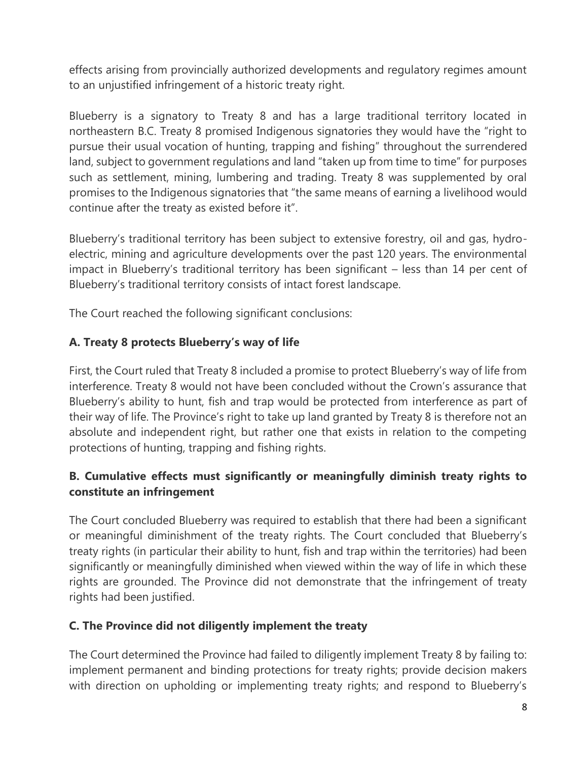effects arising from provincially authorized developments and regulatory regimes amount to an unjustified infringement of a historic treaty right.

Blueberry is a signatory to Treaty 8 and has a large traditional territory located in northeastern B.C. Treaty 8 promised Indigenous signatories they would have the "right to pursue their usual vocation of hunting, trapping and fishing" throughout the surrendered land, subject to government regulations and land "taken up from time to time" for purposes such as settlement, mining, lumbering and trading. Treaty 8 was supplemented by oral promises to the Indigenous signatories that "the same means of earning a livelihood would continue after the treaty as existed before it".

Blueberry's traditional territory has been subject to extensive forestry, oil and gas, hydroelectric, mining and agriculture developments over the past 120 years. The environmental impact in Blueberry's traditional territory has been significant – less than 14 per cent of Blueberry's traditional territory consists of intact forest landscape.

The Court reached the following significant conclusions:

# **A. Treaty 8 protects Blueberry's way of life**

First, the Court ruled that Treaty 8 included a promise to protect Blueberry's way of life from interference. Treaty 8 would not have been concluded without the Crown's assurance that Blueberry's ability to hunt, fish and trap would be protected from interference as part of their way of life. The Province's right to take up land granted by Treaty 8 is therefore not an absolute and independent right, but rather one that exists in relation to the competing protections of hunting, trapping and fishing rights.

# **B. Cumulative effects must significantly or meaningfully diminish treaty rights to constitute an infringement**

The Court concluded Blueberry was required to establish that there had been a significant or meaningful diminishment of the treaty rights. The Court concluded that Blueberry's treaty rights (in particular their ability to hunt, fish and trap within the territories) had been significantly or meaningfully diminished when viewed within the way of life in which these rights are grounded. The Province did not demonstrate that the infringement of treaty rights had been justified.

# **C. The Province did not diligently implement the treaty**

The Court determined the Province had failed to diligently implement Treaty 8 by failing to: implement permanent and binding protections for treaty rights; provide decision makers with direction on upholding or implementing treaty rights; and respond to Blueberry's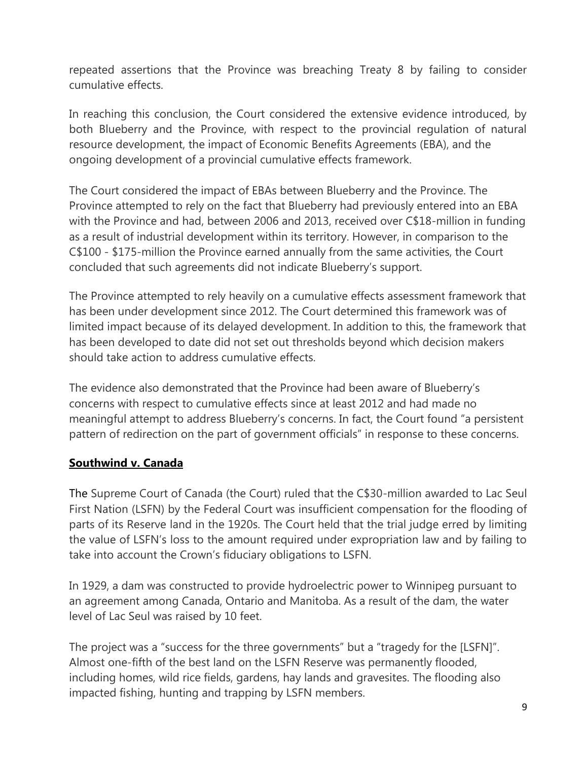repeated assertions that the Province was breaching Treaty 8 by failing to consider cumulative effects.

In reaching this conclusion, the Court considered the extensive evidence introduced, by both Blueberry and the Province, with respect to the provincial regulation of natural resource development, the impact of Economic Benefits Agreements (EBA), and the ongoing development of a provincial cumulative effects framework.

The Court considered the impact of EBAs between Blueberry and the Province. The Province attempted to rely on the fact that Blueberry had previously entered into an EBA with the Province and had, between 2006 and 2013, received over C\$18-million in funding as a result of industrial development within its territory. However, in comparison to the C\$100 - \$175-million the Province earned annually from the same activities, the Court concluded that such agreements did not indicate Blueberry's support.

The Province attempted to rely heavily on a cumulative effects assessment framework that has been under development since 2012. The Court determined this framework was of limited impact because of its delayed development. In addition to this, the framework that has been developed to date did not set out thresholds beyond which decision makers should take action to address cumulative effects.

The evidence also demonstrated that the Province had been aware of Blueberry's concerns with respect to cumulative effects since at least 2012 and had made no meaningful attempt to address Blueberry's concerns. In fact, the Court found "a persistent pattern of redirection on the part of government officials" in response to these concerns.

# **Southwind v. Canada**

The Supreme Court of Canada (the Court) ruled that the C\$30-million awarded to Lac Seul First Nation (LSFN) by the Federal Court was insufficient compensation for the flooding of parts of its Reserve land in the 1920s. The Court held that the trial judge erred by limiting the value of LSFN's loss to the amount required under expropriation law and by failing to take into account the Crown's fiduciary obligations to LSFN.

In 1929, a dam was constructed to provide hydroelectric power to Winnipeg pursuant to an agreement among Canada, Ontario and Manitoba. As a result of the dam, the water level of Lac Seul was raised by 10 feet.

The project was a "success for the three governments" but a "tragedy for the [LSFN]". Almost one-fifth of the best land on the LSFN Reserve was permanently flooded, including homes, wild rice fields, gardens, hay lands and gravesites. The flooding also impacted fishing, hunting and trapping by LSFN members.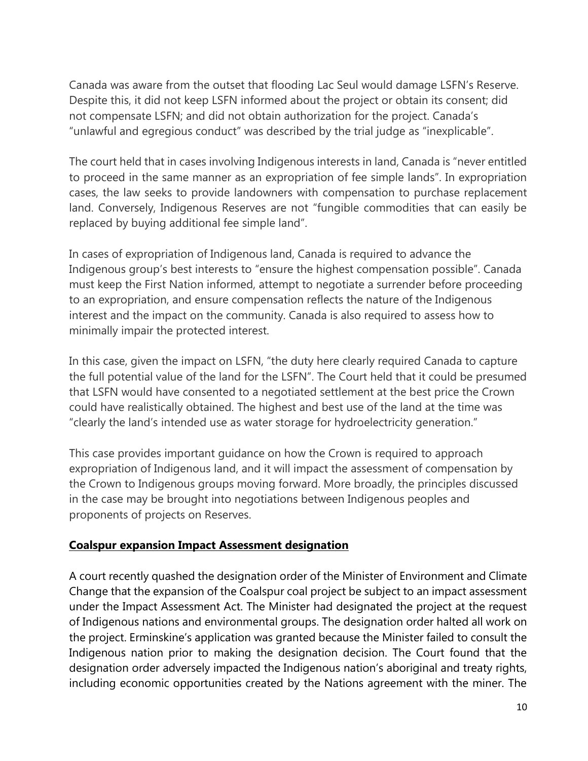Canada was aware from the outset that flooding Lac Seul would damage LSFN's Reserve. Despite this, it did not keep LSFN informed about the project or obtain its consent; did not compensate LSFN; and did not obtain authorization for the project. Canada's "unlawful and egregious conduct" was described by the trial judge as "inexplicable".

The court held that in cases involving Indigenous interests in land, Canada is "never entitled to proceed in the same manner as an expropriation of fee simple lands". In expropriation cases, the law seeks to provide landowners with compensation to purchase replacement land. Conversely, Indigenous Reserves are not "fungible commodities that can easily be replaced by buying additional fee simple land".

In cases of expropriation of Indigenous land, Canada is required to advance the Indigenous group's best interests to "ensure the highest compensation possible". Canada must keep the First Nation informed, attempt to negotiate a surrender before proceeding to an expropriation, and ensure compensation reflects the nature of the Indigenous interest and the impact on the community. Canada is also required to assess how to minimally impair the protected interest.

In this case, given the impact on LSFN, "the duty here clearly required Canada to capture the full potential value of the land for the LSFN". The Court held that it could be presumed that LSFN would have consented to a negotiated settlement at the best price the Crown could have realistically obtained. The highest and best use of the land at the time was "clearly the land's intended use as water storage for hydroelectricity generation."

This case provides important guidance on how the Crown is required to approach expropriation of Indigenous land, and it will impact the assessment of compensation by the Crown to Indigenous groups moving forward. More broadly, the principles discussed in the case may be brought into negotiations between Indigenous peoples and proponents of projects on Reserves.

#### **Coalspur expansion Impact Assessment designation**

A court recently quashed the designation order of the Minister of Environment and Climate Change that the expansion of the Coalspur coal project be subject to an impact assessment under the Impact Assessment Act. The Minister had designated the project at the request of Indigenous nations and environmental groups. The designation order halted all work on the project. Erminskine's application was granted because the Minister failed to consult the Indigenous nation prior to making the designation decision. The Court found that the designation order adversely impacted the Indigenous nation's aboriginal and treaty rights, including economic opportunities created by the Nations agreement with the miner. The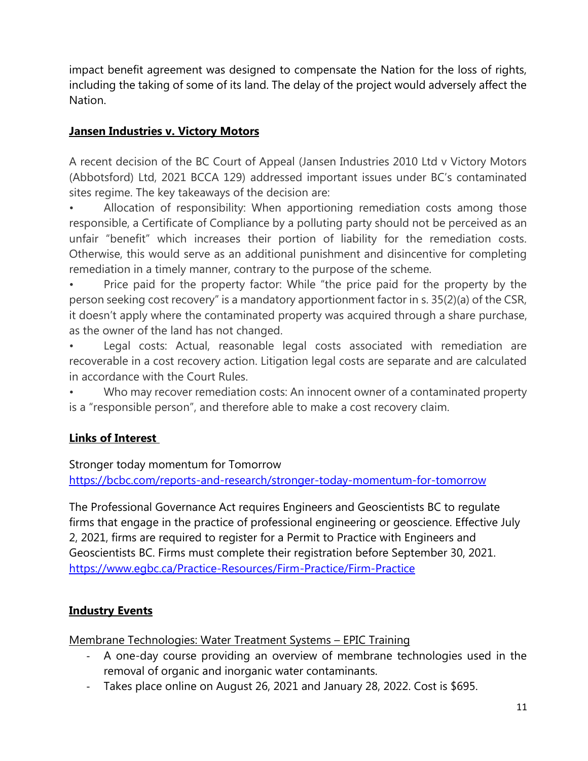impact benefit agreement was designed to compensate the Nation for the loss of rights, including the taking of some of its land. The delay of the project would adversely affect the Nation.

# **Jansen Industries v. Victory Motors**

A recent decision of the BC Court of Appeal (Jansen Industries 2010 Ltd v Victory Motors (Abbotsford) Ltd, 2021 BCCA 129) addressed important issues under BC's contaminated sites regime. The key takeaways of the decision are:

• Allocation of responsibility: When apportioning remediation costs among those responsible, a Certificate of Compliance by a polluting party should not be perceived as an unfair "benefit" which increases their portion of liability for the remediation costs. Otherwise, this would serve as an additional punishment and disincentive for completing remediation in a timely manner, contrary to the purpose of the scheme.

Price paid for the property factor: While "the price paid for the property by the person seeking cost recovery" is a mandatory apportionment factor in s. 35(2)(a) of the CSR, it doesn't apply where the contaminated property was acquired through a share purchase, as the owner of the land has not changed.

Legal costs: Actual, reasonable legal costs associated with remediation are recoverable in a cost recovery action. Litigation legal costs are separate and are calculated in accordance with the Court Rules.

Who may recover remediation costs: An innocent owner of a contaminated property is a "responsible person", and therefore able to make a cost recovery claim.

# **Links of Interest**

Stronger today momentum for Tomorrow

<https://bcbc.com/reports-and-research/stronger-today-momentum-for-tomorrow>

The Professional Governance Act requires Engineers and Geoscientists BC to regulate firms that engage in the practice of professional engineering or geoscience. Effective July 2, 2021, firms are required to register for a Permit to Practice with Engineers and Geoscientists BC. Firms must complete their registration before September 30, 2021. [https://www.egbc.ca/Practice-Resources/Firm-Practice/Firm-Practice](https://can01.safelinks.protection.outlook.com/?url=https%3A%2F%2Fwww.egbc.ca%2FPractice-Resources%2FFirm-Practice%2FFirm-Practice&data=04%7C01%7Cnpomareda%40csapsociety.bc.ca%7Ca4b23f085e1e43d0644608d967f980b6%7Cab97e2b2085f45ba971aec284160d874%7C0%7C0%7C637655144257622311%7CUnknown%7CTWFpbGZsb3d8eyJWIjoiMC4wLjAwMDAiLCJQIjoiV2luMzIiLCJBTiI6Ik1haWwiLCJXVCI6Mn0%3D%7C1000&sdata=1z%2FlmH3X3dJYAklOCXJze785%2FmaYNpxesYDhz3EtJ4o%3D&reserved=0)

# **Industry Events**

Membrane Technologies: Water Treatment Systems – EPIC Training

- A one-day course providing an overview of membrane technologies used in the removal of organic and inorganic water contaminants.
- Takes place online on August 26, 2021 and January 28, 2022. Cost is \$695.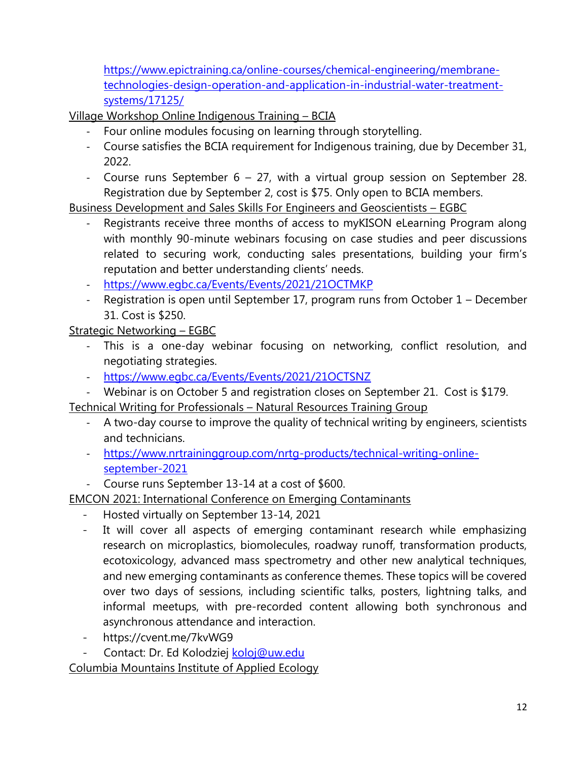[https://www.epictraining.ca/online-courses/chemical-engineering/membrane](https://www.epictraining.ca/online-courses/chemical-engineering/membrane-technologies-design-operation-and-application-in-industrial-water-treatment-systems/17125/)[technologies-design-operation-and-application-in-industrial-water-treatment](https://www.epictraining.ca/online-courses/chemical-engineering/membrane-technologies-design-operation-and-application-in-industrial-water-treatment-systems/17125/)[systems/17125/](https://www.epictraining.ca/online-courses/chemical-engineering/membrane-technologies-design-operation-and-application-in-industrial-water-treatment-systems/17125/)

Village Workshop Online Indigenous Training – BCIA

- Four online modules focusing on learning through storytelling.
- Course satisfies the BCIA requirement for Indigenous training, due by December 31, 2022.
- Course runs September 6 27, with a virtual group session on September 28. Registration due by September 2, cost is \$75. Only open to BCIA members.

Business Development and Sales Skills For Engineers and Geoscientists – EGBC

- Registrants receive three months of access to myKISON eLearning Program along with monthly 90-minute webinars focusing on case studies and peer discussions related to securing work, conducting sales presentations, building your firm's reputation and better understanding clients' needs.
- <https://www.egbc.ca/Events/Events/2021/21OCTMKP>
- Registration is open until September 17, program runs from October 1 December 31. Cost is \$250.

Strategic Networking – EGBC

- This is a one-day webinar focusing on networking, conflict resolution, and negotiating strategies.
- <https://www.egbc.ca/Events/Events/2021/21OCTSNZ>
- Webinar is on October 5 and registration closes on September 21. Cost is \$179.

Technical Writing for Professionals – Natural Resources Training Group

- A two-day course to improve the quality of technical writing by engineers, scientists and technicians.
- [https://www.nrtraininggroup.com/nrtg-products/technical-writing-online](https://www.nrtraininggroup.com/nrtg-products/technical-writing-online-september-2021)[september-2021](https://www.nrtraininggroup.com/nrtg-products/technical-writing-online-september-2021)
- Course runs September 13-14 at a cost of \$600.

EMCON 2021: International Conference on Emerging Contaminants

- Hosted virtually on September 13-14, 2021
- It will cover all aspects of emerging contaminant research while emphasizing research on microplastics, biomolecules, roadway runoff, transformation products, ecotoxicology, advanced mass spectrometry and other new analytical techniques, and new emerging contaminants as conference themes. These topics will be covered over two days of sessions, including scientific talks, posters, lightning talks, and informal meetups, with pre-recorded content allowing both synchronous and asynchronous attendance and interaction.
- https://cvent.me/7kvWG9

Contact: Dr. Ed Kolodziej [koloj@uw.edu](mailto:koloj@uw.edu)

Columbia Mountains Institute of Applied Ecology